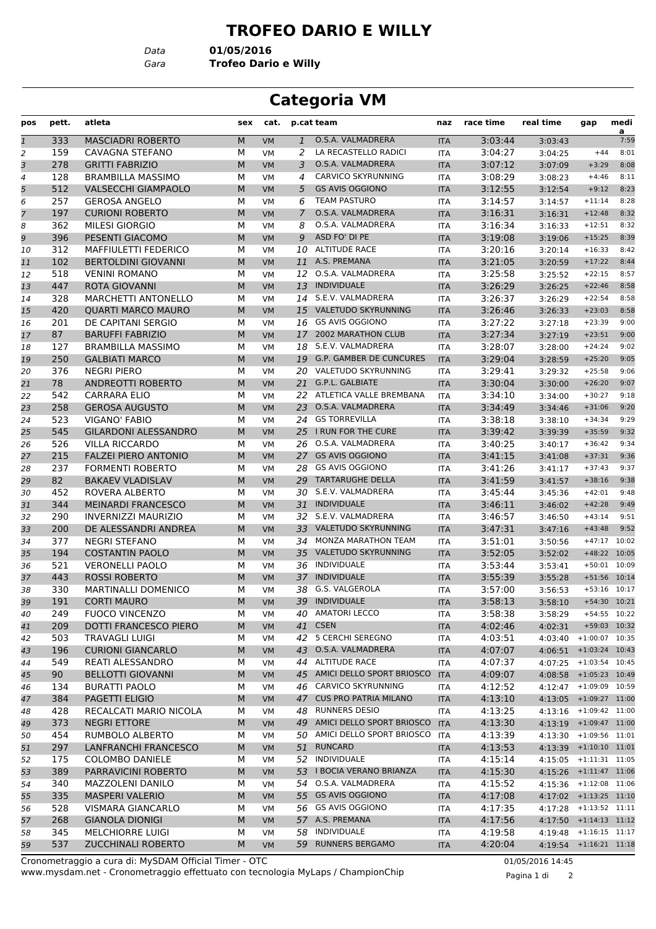## **TROFEO DARIO E WILLY**

*Data* **01/05/2016**

*Gara* **Trofeo Dario e Willy**

## **Categoria VM**

| pos                       | pett. | atleta                       | sex | cat.      |                | p.cat team                     | naz        | race time | real time | gap                        | medi<br>$\overline{a}$ |
|---------------------------|-------|------------------------------|-----|-----------|----------------|--------------------------------|------------|-----------|-----------|----------------------------|------------------------|
| $\ensuremath{\mathbf{1}}$ | 333   | <b>MASCIADRI ROBERTO</b>     | M   | <b>VM</b> | $\mathbf{1}$   | O.S.A. VALMADRERA              | <b>ITA</b> | 3:03:44   | 3:03:43   |                            | 7:59                   |
| 2                         | 159   | CAVAGNA STEFANO              | М   | VM        | 2              | LA RECASTELLO RADICI           | <b>ITA</b> | 3:04:27   | 3:04:25   | $+44$                      | 8:01                   |
| 3                         | 278   | <b>GRITTI FABRIZIO</b>       | M   | <b>VM</b> | 3              | O.S.A. VALMADRERA              | <b>ITA</b> | 3:07:12   | 3:07:09   | $+3:29$                    | 8:08                   |
| 4                         | 128   | <b>BRAMBILLA MASSIMO</b>     | М   | <b>VM</b> | 4              | <b>CARVICO SKYRUNNING</b>      | ITA        | 3:08:29   | 3:08:23   | $+4:46$                    | 8:11                   |
| 5                         | 512   | <b>VALSECCHI GIAMPAOLO</b>   | M   | <b>VM</b> | 5              | <b>GS AVIS OGGIONO</b>         | <b>ITA</b> | 3:12:55   | 3:12:54   | $+9:12$                    | 8:23                   |
| 6                         | 257   | <b>GEROSA ANGELO</b>         | М   | <b>VM</b> | 6              | <b>TEAM PASTURO</b>            | <b>ITA</b> | 3:14:57   | 3:14:57   | $+11:14$                   | 8:28                   |
| 7                         | 197   | <b>CURIONI ROBERTO</b>       | M   | VM        | $\overline{7}$ | O.S.A. VALMADRERA              | <b>ITA</b> | 3:16:31   | 3:16:31   | $+12:48$                   | 8:32                   |
| 8                         | 362   | <b>MILESI GIORGIO</b>        | М   | VM        | 8              | O.S.A. VALMADRERA              | <b>ITA</b> | 3:16:34   | 3:16:33   | $+12:51$                   | 8:32                   |
| 9                         | 396   | PESENTI GIACOMO              | M   | <b>VM</b> | 9              | ASD FO' DI PE                  | <b>ITA</b> | 3:19:08   | 3:19:06   | $+15:25$                   | 8:39                   |
| 10                        | 312   | MAFFIULETTI FEDERICO         | М   | <b>VM</b> | 10             | <b>ALTITUDE RACE</b>           | <b>ITA</b> | 3:20:16   | 3:20:14   | $+16:33$                   | 8:42                   |
| 11                        | 102   | <b>BERTOLDINI GIOVANNI</b>   | M   | <b>VM</b> | 11             | A.S. PREMANA                   | <b>ITA</b> | 3:21:05   | 3:20:59   | $+17:22$                   | 8:44                   |
| 12                        | 518   | <b>VENINI ROMANO</b>         | М   | <b>VM</b> | 12             | O.S.A. VALMADRERA              | <b>ITA</b> | 3:25:58   | 3:25:52   | $+22:15$                   | 8:57                   |
| 13                        | 447   | ROTA GIOVANNI                | M   | VM        | 13             | <b>INDIVIDUALE</b>             | <b>ITA</b> | 3:26:29   | 3:26:25   | $+22:46$                   | 8:58                   |
| 14                        | 328   | <b>MARCHETTI ANTONELLO</b>   | М   | <b>VM</b> | 14             | S.E.V. VALMADRERA              | <b>ITA</b> | 3:26:37   | 3:26:29   | $+22:54$                   | 8:58                   |
| 15                        | 420   | <b>QUARTI MARCO MAURO</b>    | M   | <b>VM</b> |                | 15 VALETUDO SKYRUNNING         | <b>ITA</b> | 3:26:46   | 3:26:33   | $+23:03$                   | 8:58                   |
| 16                        | 201   | DE CAPITANI SERGIO           | М   | <b>VM</b> | 16             | <b>GS AVIS OGGIONO</b>         | ITA        | 3:27:22   | 3:27:18   | $+23:39$                   | 9:00                   |
| 17                        | 87    | <b>BARUFFI FABRIZIO</b>      | M   | <b>VM</b> |                | 17 2002 MARATHON CLUB          | <b>ITA</b> | 3:27:34   | 3:27:19   | $+23:51$                   | 9:00                   |
| 18                        | 127   | <b>BRAMBILLA MASSIMO</b>     | М   | <b>VM</b> | 18             | S.E.V. VALMADRERA              | <b>ITA</b> | 3:28:07   | 3:28:00   | $+24:24$                   | 9:02                   |
| 19                        | 250   | <b>GALBIATI MARCO</b>        | M   | VM        | 19             | <b>G.P. GAMBER DE CUNCURES</b> | <b>ITA</b> | 3:29:04   | 3:28:59   | $+25:20$                   | 9:05                   |
| 20                        | 376   | <b>NEGRI PIERO</b>           | М   | <b>VM</b> |                | 20 VALETUDO SKYRUNNING         | <b>ITA</b> | 3:29:41   | 3:29:32   | $+25:58$                   | 9:06                   |
| 21                        | 78    | <b>ANDREOTTI ROBERTO</b>     | M   | <b>VM</b> |                | 21 G.P.L. GALBIATE             | <b>ITA</b> | 3:30:04   | 3:30:00   | $+26:20$                   | 9:07                   |
| 22                        | 542   | <b>CARRARA ELIO</b>          | М   | <b>VM</b> | 22             | ATLETICA VALLE BREMBANA        | ITA        | 3:34:10   | 3:34:00   | $+30:27$                   | 9:18                   |
| 23                        | 258   | <b>GEROSA AUGUSTO</b>        | M   | <b>VM</b> | 23             | O.S.A. VALMADRERA              | <b>ITA</b> | 3:34:49   | 3:34:46   | $+31:06$                   | 9:20                   |
| 24                        | 523   | VIGANO' FABIO                | м   | <b>VM</b> |                | 24 GS TORREVILLA               | <b>ITA</b> | 3:38:18   | 3:38:10   | $+34:34$                   | 9:29                   |
| 25                        | 545   | <b>GILARDONI ALESSANDRO</b>  | M   | VM        | 25             | I RUN FOR THE CURE             | <b>ITA</b> | 3:39:42   | 3:39:39   | $+35:59$                   | 9:32                   |
| 26                        | 526   | <b>VILLA RICCARDO</b>        | М   | VM        | 26             | O.S.A. VALMADRERA              | <b>ITA</b> | 3:40:25   | 3:40:17   | $+36:42$                   | 9:34                   |
| 27                        | 215   | <b>FALZEI PIERO ANTONIO</b>  | M   | VM        |                | 27 GS AVIS OGGIONO             | <b>ITA</b> | 3:41:15   | 3:41:08   | $+37:31$                   | 9:36                   |
| 28                        | 237   | <b>FORMENTI ROBERTO</b>      | М   | <b>VM</b> | 28             | <b>GS AVIS OGGIONO</b>         | ITA        | 3:41:26   | 3:41:17   | $+37:43$                   | 9:37                   |
| 29                        | 82    | <b>BAKAEV VLADISLAV</b>      | M   | <b>VM</b> | 29             | <b>TARTARUGHE DELLA</b>        | <b>ITA</b> | 3:41:59   | 3:41:57   | $+38:16$                   | 9:38                   |
| 30                        | 452   | ROVERA ALBERTO               | М   | <b>VM</b> |                | 30 S.E.V. VALMADRERA           | <b>ITA</b> | 3:45:44   | 3:45:36   | $+42:01$                   | 9:48                   |
| 31                        | 344   | <b>MEINARDI FRANCESCO</b>    | M   | VM        |                | 31 INDIVIDUALE                 | <b>ITA</b> | 3:46:11   | 3:46:02   | $+42:28$                   | 9:49                   |
| 32                        | 290   | <b>INVERNIZZI MAURIZIO</b>   | м   | VM        |                | 32 S.E.V. VALMADRERA           | <b>ITA</b> | 3:46:57   | 3:46:50   | $+43:14$                   | 9:51                   |
| 33                        | 200   | DE ALESSANDRI ANDREA         | M   | <b>VM</b> | 33             | VALETUDO SKYRUNNING            | <b>ITA</b> | 3:47:31   | 3:47:16   | $+43:48$                   | 9:52                   |
| 34                        | 377   | <b>NEGRI STEFANO</b>         | М   | <b>VM</b> | 34             | MONZA MARATHON TEAM            | ITA        | 3:51:01   | 3:50:56   | $+47:17$                   | 10:02                  |
| 35                        | 194   | <b>COSTANTIN PAOLO</b>       | M   | <b>VM</b> | 35             | VALETUDO SKYRUNNING            | <b>ITA</b> | 3:52:05   | 3:52:02   | $+48:22$                   | 10:05                  |
| 36                        | 521   | <b>VERONELLI PAOLO</b>       | М   | <b>VM</b> | 36             | <b>INDIVIDUALE</b>             | <b>ITA</b> | 3:53:44   | 3:53:41   | $+50:01$                   | 10:09                  |
| 37                        | 443   | <b>ROSSI ROBERTO</b>         | M   | VM        | 37             | <b>INDIVIDUALE</b>             | <b>ITA</b> | 3:55:39   | 3:55:28   | $+51:56$ 10:14             |                        |
| 38                        | 330   | <b>MARTINALLI DOMENICO</b>   | М   | VM        | 38             | G.S. VALGEROLA                 | <b>ITA</b> | 3:57:00   | 3:56:53   | $+53:16$                   | 10:17                  |
| 39                        | 191   | <b>CORTI MAURO</b>           | M   | <b>VM</b> | 39             | <b>INDIVIDUALE</b>             | <b>ITA</b> | 3:58:13   | 3:58:10   | +54:30 10:21               |                        |
| 40                        | 249   | <b>FUOCO VINCENZO</b>        | М   | VM        |                | 40 AMATORI LECCO               | ITA        | 3:58:38   | 3:58:29   | +54:55 10:22               |                        |
| 41                        | 209   | <b>DOTTI FRANCESCO PIERO</b> | M   | <b>VM</b> | 41             | <b>CSEN</b>                    | <b>ITA</b> | 4:02:46   | 4:02:31   | +59:03 10:32               |                        |
| 42                        | 503   | TRAVAGLI LUIGI               | М   | VM        |                | 42 5 CERCHI SEREGNO            | ITA        | 4:03:51   | 4:03:40   | $+1:00:07$ 10:35           |                        |
| 43                        | 196   | <b>CURIONI GIANCARLO</b>     | M   | VM        |                | 43 O.S.A. VALMADRERA           | <b>ITA</b> | 4:07:07   |           | $4:06:51$ +1:03:24 10:43   |                        |
| 44                        | 549   | REATI ALESSANDRO             | М   | VM        |                | 44 ALTITUDE RACE               | ITA        | 4:07:37   |           | 4:07:25 +1:03:54 10:45     |                        |
| 45                        | 90    | <b>BELLOTTI GIOVANNI</b>     | M   | <b>VM</b> |                | 45 AMICI DELLO SPORT BRIOSCO   | <b>ITA</b> | 4:09:07   |           | 4:08:58 +1:05:23 10:49     |                        |
| 46                        | 134   | <b>BURATTI PAOLO</b>         | М   | VM        |                | 46 CARVICO SKYRUNNING          | ITA        | 4:12:52   |           | 4:12:47 +1:09:09 10:59     |                        |
| 47                        | 384   | PAGETTI ELIGIO               | M   | <b>VM</b> |                | 47 CUS PRO PATRIA MILANO       | <b>ITA</b> | 4:13:10   | 4:13:05   | $+1:09:27$ 11:00           |                        |
| 48                        | 428   | RECALCATI MARIO NICOLA       | М   | VM        |                | 48 RUNNERS DESIO               | ITA        | 4:13:25   |           | 4:13:16 +1:09:42 11:00     |                        |
| 49                        | 373   | <b>NEGRI ETTORE</b>          | M   | <b>VM</b> |                | 49 AMICI DELLO SPORT BRIOSCO   | <b>ITA</b> | 4:13:30   |           | 4:13:19 +1:09:47 11:00     |                        |
| 50                        | 454   | RUMBOLO ALBERTO              | М   | VM        |                | 50 AMICI DELLO SPORT BRIOSCO   | ITA        | 4:13:39   |           | 4:13:30 +1:09:56 11:01     |                        |
| 51                        | 297   | <b>LANFRANCHI FRANCESCO</b>  | M   | <b>VM</b> |                | 51 RUNCARD                     | <b>ITA</b> | 4:13:53   |           | 4:13:39 +1:10:10 11:01     |                        |
| 52                        | 175   | <b>COLOMBO DANIELE</b>       | М   | VM        |                | 52 INDIVIDUALE                 | ITA        | 4:15:14   |           | $4:15:05$ $+1:11:31$ 11:05 |                        |
| 53                        | 389   | PARRAVICINI ROBERTO          | M   | <b>VM</b> |                | 53 I BOCIA VERANO BRIANZA      | <b>ITA</b> | 4:15:30   | 4:15:26   | $+1:11:47$ 11:06           |                        |
| 54                        | 340   | MAZZOLENI DANILO             | М   | VM        |                | 54 O.S.A. VALMADRERA           | ITA        | 4:15:52   |           | 4:15:36 +1:12:08 11:06     |                        |
| 55                        | 335   | <b>MASPERI VALERIO</b>       | M   | <b>VM</b> |                | 55 GS AVIS OGGIONO             | <b>ITA</b> | 4:17:08   |           | 4:17:02 +1:13:25 11:10     |                        |
| 56                        | 528   | VISMARA GIANCARLO            | М   | VM        |                | 56 GS AVIS OGGIONO             | ITA        | 4:17:35   |           | 4:17:28 +1:13:52 11:11     |                        |
| 57                        | 268   | <b>GIANOLA DIONIGI</b>       | M   | <b>VM</b> |                | 57 A.S. PREMANA                | <b>ITA</b> | 4:17:56   |           | 4:17:50 +1:14:13 11:12     |                        |
| 58                        | 345   | <b>MELCHIORRE LUIGI</b>      | М   | VM        | 58             | INDIVIDUALE                    | ITA        | 4:19:58   | 4:19:48   | $+1:16:15$ 11:17           |                        |
| 59                        | 537   | <b>ZUCCHINALI ROBERTO</b>    | M   | <b>VM</b> |                | 59 RUNNERS BERGAMO             | <b>ITA</b> | 4:20:04   |           | 4:19:54 +1:16:21 11:18     |                        |
|                           |       |                              |     |           |                |                                |            |           |           |                            |                        |

www.mysdam.net - Cronometraggio effettuato con tecnologia MyLaps / ChampionChip Cronometraggio a cura di: MySDAM Official Timer - OTC 01/05/2016 14:45

Pagina 1 di 2